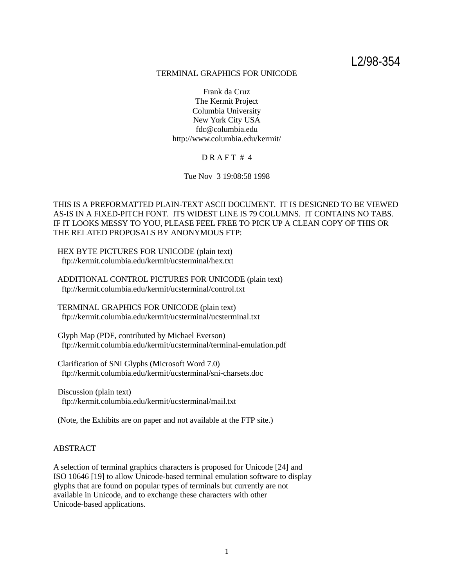L2/98-354

### TERMINAL GRAPHICS FOR UNICODE

Frank da Cruz The Kermit Project Columbia University New York City USA fdc@columbia.edu http://www.columbia.edu/kermit/

## $DR$ AFT #4

Tue Nov 3 19:08:58 1998

THIS IS A PREFORMATTED PLAIN-TEXT ASCII DOCUMENT. IT IS DESIGNED TO BE VIEWED AS-IS IN A FIXED-PITCH FONT. ITS WIDEST LINE IS 79 COLUMNS. IT CONTAINS NO TABS. IF IT LOOKS MESSY TO YOU, PLEASE FEEL FREE TO PICK UP A CLEAN COPY OF THIS OR THE RELATED PROPOSALS BY ANONYMOUS FTP:

 HEX BYTE PICTURES FOR UNICODE (plain text) ftp://kermit.columbia.edu/kermit/ucsterminal/hex.txt

 ADDITIONAL CONTROL PICTURES FOR UNICODE (plain text) ftp://kermit.columbia.edu/kermit/ucsterminal/control.txt

 TERMINAL GRAPHICS FOR UNICODE (plain text) ftp://kermit.columbia.edu/kermit/ucsterminal/ucsterminal.txt

 Glyph Map (PDF, contributed by Michael Everson) ftp://kermit.columbia.edu/kermit/ucsterminal/terminal-emulation.pdf

 Clarification of SNI Glyphs (Microsoft Word 7.0) ftp://kermit.columbia.edu/kermit/ucsterminal/sni-charsets.doc

 Discussion (plain text) ftp://kermit.columbia.edu/kermit/ucsterminal/mail.txt

(Note, the Exhibits are on paper and not available at the FTP site.)

## ABSTRACT

A selection of terminal graphics characters is proposed for Unicode [24] and ISO 10646 [19] to allow Unicode-based terminal emulation software to display glyphs that are found on popular types of terminals but currently are not available in Unicode, and to exchange these characters with other Unicode-based applications.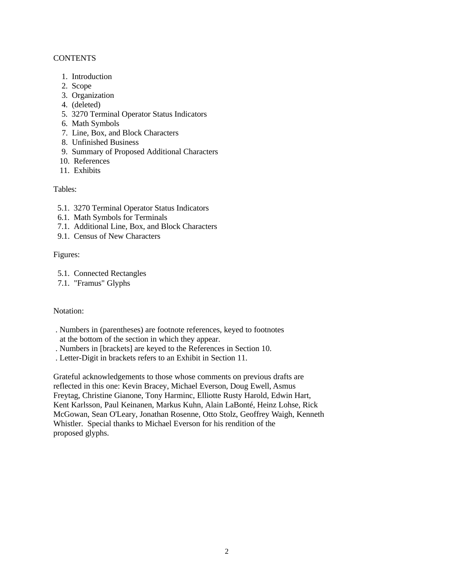## **CONTENTS**

- 1. Introduction
- 2. Scope
- 3. Organization
- 4. (deleted)
- 5. 3270 Terminal Operator Status Indicators
- 6. Math Symbols
- 7. Line, Box, and Block Characters
- 8. Unfinished Business
- 9. Summary of Proposed Additional Characters
- 10. References
- 11. Exhibits

# Tables:

- 5.1. 3270 Terminal Operator Status Indicators
- 6.1. Math Symbols for Terminals
- 7.1. Additional Line, Box, and Block Characters
- 9.1. Census of New Characters

## Figures:

- 5.1. Connected Rectangles
- 7.1. "Framus" Glyphs

# Notation:

- . Numbers in (parentheses) are footnote references, keyed to footnotes at the bottom of the section in which they appear.
- . Numbers in [brackets] are keyed to the References in Section 10.
- . Letter-Digit in brackets refers to an Exhibit in Section 11.

Grateful acknowledgements to those whose comments on previous drafts are reflected in this one: Kevin Bracey, Michael Everson, Doug Ewell, Asmus Freytag, Christine Gianone, Tony Harminc, Elliotte Rusty Harold, Edwin Hart, Kent Karlsson, Paul Keinanen, Markus Kuhn, Alain LaBonté, Heinz Lohse, Rick McGowan, Sean O'Leary, Jonathan Rosenne, Otto Stolz, Geoffrey Waigh, Kenneth Whistler. Special thanks to Michael Everson for his rendition of the proposed glyphs.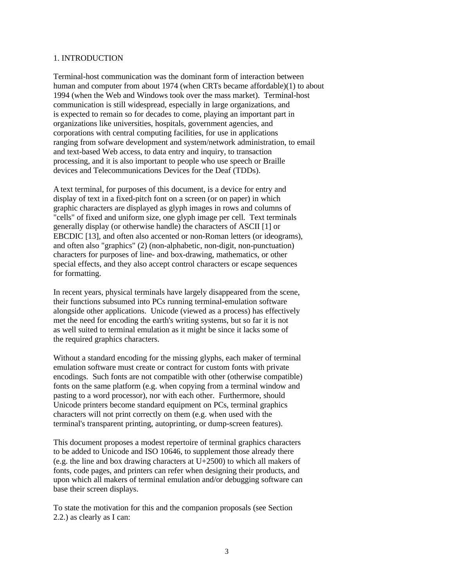#### 1. INTRODUCTION

Terminal-host communication was the dominant form of interaction between human and computer from about 1974 (when CRTs became affordable)(1) to about 1994 (when the Web and Windows took over the mass market). Terminal-host communication is still widespread, especially in large organizations, and is expected to remain so for decades to come, playing an important part in organizations like universities, hospitals, government agencies, and corporations with central computing facilities, for use in applications ranging from sofware development and system/network administration, to email and text-based Web access, to data entry and inquiry, to transaction processing, and it is also important to people who use speech or Braille devices and Telecommunications Devices for the Deaf (TDDs).

A text terminal, for purposes of this document, is a device for entry and display of text in a fixed-pitch font on a screen (or on paper) in which graphic characters are displayed as glyph images in rows and columns of "cells" of fixed and uniform size, one glyph image per cell. Text terminals generally display (or otherwise handle) the characters of ASCII [1] or EBCDIC [13], and often also accented or non-Roman letters (or ideograms), and often also "graphics" (2) (non-alphabetic, non-digit, non-punctuation) characters for purposes of line- and box-drawing, mathematics, or other special effects, and they also accept control characters or escape sequences for formatting.

In recent years, physical terminals have largely disappeared from the scene, their functions subsumed into PCs running terminal-emulation software alongside other applications. Unicode (viewed as a process) has effectively met the need for encoding the earth's writing systems, but so far it is not as well suited to terminal emulation as it might be since it lacks some of the required graphics characters.

Without a standard encoding for the missing glyphs, each maker of terminal emulation software must create or contract for custom fonts with private encodings. Such fonts are not compatible with other (otherwise compatible) fonts on the same platform (e.g. when copying from a terminal window and pasting to a word processor), nor with each other. Furthermore, should Unicode printers become standard equipment on PCs, terminal graphics characters will not print correctly on them (e.g. when used with the terminal's transparent printing, autoprinting, or dump-screen features).

This document proposes a modest repertoire of terminal graphics characters to be added to Unicode and ISO 10646, to supplement those already there (e.g. the line and box drawing characters at  $U+2500$ ) to which all makers of fonts, code pages, and printers can refer when designing their products, and upon which all makers of terminal emulation and/or debugging software can base their screen displays.

To state the motivation for this and the companion proposals (see Section 2.2.) as clearly as I can: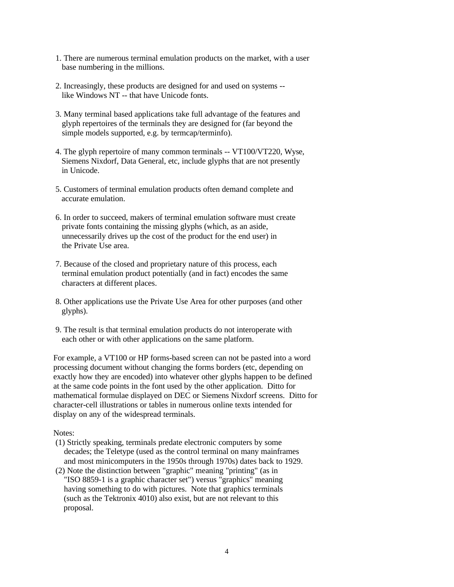- 1. There are numerous terminal emulation products on the market, with a user base numbering in the millions.
- 2. Increasingly, these products are designed for and used on systems like Windows NT -- that have Unicode fonts.
- 3. Many terminal based applications take full advantage of the features and glyph repertoires of the terminals they are designed for (far beyond the simple models supported, e.g. by termcap/terminfo).
- 4. The glyph repertoire of many common terminals -- VT100/VT220, Wyse, Siemens Nixdorf, Data General, etc, include glyphs that are not presently in Unicode.
- 5. Customers of terminal emulation products often demand complete and accurate emulation.
- 6. In order to succeed, makers of terminal emulation software must create private fonts containing the missing glyphs (which, as an aside, unnecessarily drives up the cost of the product for the end user) in the Private Use area.
- 7. Because of the closed and proprietary nature of this process, each terminal emulation product potentially (and in fact) encodes the same characters at different places.
- 8. Other applications use the Private Use Area for other purposes (and other glyphs).
- 9. The result is that terminal emulation products do not interoperate with each other or with other applications on the same platform.

For example, a VT100 or HP forms-based screen can not be pasted into a word processing document without changing the forms borders (etc, depending on exactly how they are encoded) into whatever other glyphs happen to be defined at the same code points in the font used by the other application. Ditto for mathematical formulae displayed on DEC or Siemens Nixdorf screens. Ditto for character-cell illustrations or tables in numerous online texts intended for display on any of the widespread terminals.

### Notes:

- (1) Strictly speaking, terminals predate electronic computers by some decades; the Teletype (used as the control terminal on many mainframes and most minicomputers in the 1950s through 1970s) dates back to 1929.
- (2) Note the distinction between "graphic" meaning "printing" (as in "ISO 8859-1 is a graphic character set") versus "graphics" meaning having something to do with pictures. Note that graphics terminals (such as the Tektronix 4010) also exist, but are not relevant to this proposal.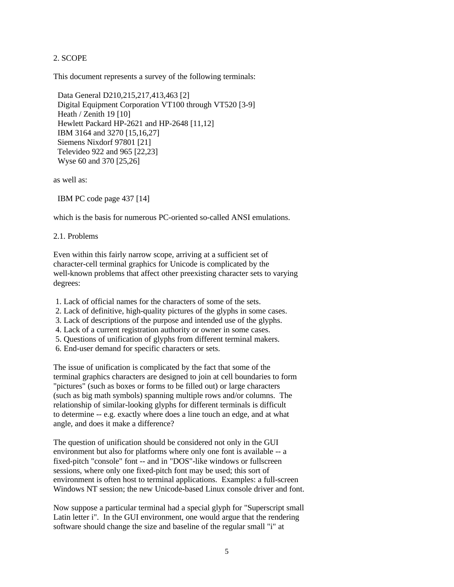## 2. SCOPE

This document represents a survey of the following terminals:

 Data General D210,215,217,413,463 [2] Digital Equipment Corporation VT100 through VT520 [3-9] Heath / Zenith 19 [10] Hewlett Packard HP-2621 and HP-2648 [11,12] IBM 3164 and 3270 [15,16,27] Siemens Nixdorf 97801 [21] Televideo 922 and 965 [22,23] Wyse 60 and 370 [25,26]

as well as:

IBM PC code page 437 [14]

which is the basis for numerous PC-oriented so-called ANSI emulations.

2.1. Problems

Even within this fairly narrow scope, arriving at a sufficient set of character-cell terminal graphics for Unicode is complicated by the well-known problems that affect other preexisting character sets to varying degrees:

1. Lack of official names for the characters of some of the sets.

- 2. Lack of definitive, high-quality pictures of the glyphs in some cases.
- 3. Lack of descriptions of the purpose and intended use of the glyphs.
- 4. Lack of a current registration authority or owner in some cases.
- 5. Questions of unification of glyphs from different terminal makers.
- 6. End-user demand for specific characters or sets.

The issue of unification is complicated by the fact that some of the terminal graphics characters are designed to join at cell boundaries to form "pictures" (such as boxes or forms to be filled out) or large characters (such as big math symbols) spanning multiple rows and/or columns. The relationship of similar-looking glyphs for different terminals is difficult to determine -- e.g. exactly where does a line touch an edge, and at what angle, and does it make a difference?

The question of unification should be considered not only in the GUI environment but also for platforms where only one font is available -- a fixed-pitch "console" font -- and in "DOS"-like windows or fullscreen sessions, where only one fixed-pitch font may be used; this sort of environment is often host to terminal applications. Examples: a full-screen Windows NT session; the new Unicode-based Linux console driver and font.

Now suppose a particular terminal had a special glyph for "Superscript small Latin letter i". In the GUI environment, one would argue that the rendering software should change the size and baseline of the regular small "i" at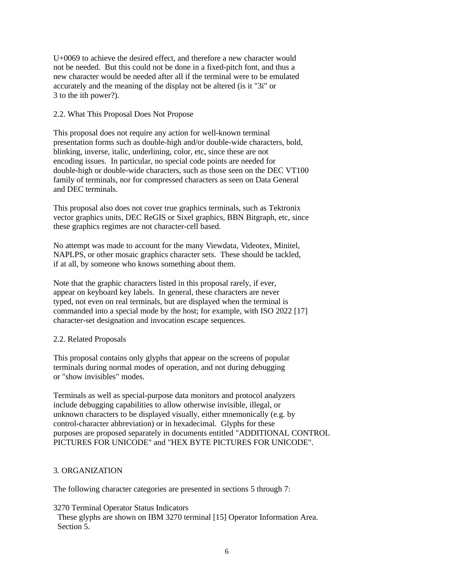U+0069 to achieve the desired effect, and therefore a new character would not be needed. But this could not be done in a fixed-pitch font, and thus a new character would be needed after all if the terminal were to be emulated accurately and the meaning of the display not be altered (is it "3i" or 3 to the ith power?).

2.2. What This Proposal Does Not Propose

This proposal does not require any action for well-known terminal presentation forms such as double-high and/or double-wide characters, bold, blinking, inverse, italic, underlining, color, etc, since these are not encoding issues. In particular, no special code points are needed for double-high or double-wide characters, such as those seen on the DEC VT100 family of terminals, nor for compressed characters as seen on Data General and DEC terminals.

This proposal also does not cover true graphics terminals, such as Tektronix vector graphics units, DEC ReGIS or Sixel graphics, BBN Bitgraph, etc, since these graphics regimes are not character-cell based.

No attempt was made to account for the many Viewdata, Videotex, Minitel, NAPLPS, or other mosaic graphics character sets. These should be tackled, if at all, by someone who knows something about them.

Note that the graphic characters listed in this proposal rarely, if ever, appear on keyboard key labels. In general, these characters are never typed, not even on real terminals, but are displayed when the terminal is commanded into a special mode by the host; for example, with ISO 2022 [17] character-set designation and invocation escape sequences.

# 2.2. Related Proposals

This proposal contains only glyphs that appear on the screens of popular terminals during normal modes of operation, and not during debugging or "show invisibles" modes.

Terminals as well as special-purpose data monitors and protocol analyzers include debugging capabilities to allow otherwise invisible, illegal, or unknown characters to be displayed visually, either mnemonically (e.g. by control-character abbreviation) or in hexadecimal. Glyphs for these purposes are proposed separately in documents entitled "ADDITIONAL CONTROL PICTURES FOR UNICODE" and "HEX BYTE PICTURES FOR UNICODE".

# 3. ORGANIZATION

The following character categories are presented in sections 5 through 7:

3270 Terminal Operator Status Indicators

 These glyphs are shown on IBM 3270 terminal [15] Operator Information Area. Section 5.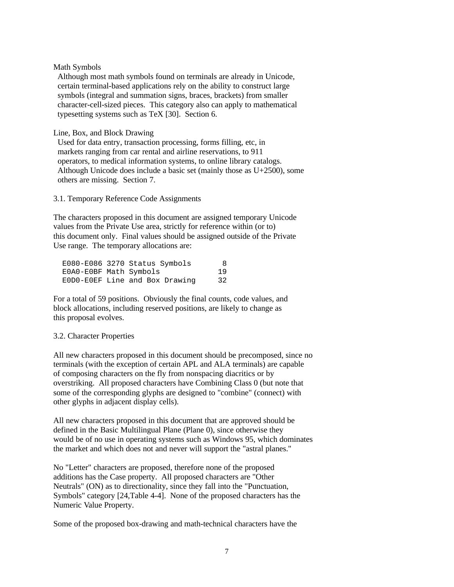Math Symbols

 Although most math symbols found on terminals are already in Unicode, certain terminal-based applications rely on the ability to construct large symbols (integral and summation signs, braces, brackets) from smaller character-cell-sized pieces. This category also can apply to mathematical typesetting systems such as TeX [30]. Section 6.

Line, Box, and Block Drawing

 Used for data entry, transaction processing, forms filling, etc, in markets ranging from car rental and airline reservations, to 911 operators, to medical information systems, to online library catalogs. Although Unicode does include a basic set (mainly those as U+2500), some others are missing. Section 7.

3.1. Temporary Reference Code Assignments

The characters proposed in this document are assigned temporary Unicode values from the Private Use area, strictly for reference within (or to) this document only. Final values should be assigned outside of the Private Use range. The temporary allocations are:

| E080-E086 3270 Status Symbols  |    | 8 |
|--------------------------------|----|---|
| E0A0-E0BF Math Symbols         | 19 |   |
| EODO-EOEF Line and Box Drawing | 32 |   |

For a total of 59 positions. Obviously the final counts, code values, and block allocations, including reserved positions, are likely to change as this proposal evolves.

# 3.2. Character Properties

All new characters proposed in this document should be precomposed, since no terminals (with the exception of certain APL and ALA terminals) are capable of composing characters on the fly from nonspacing diacritics or by overstriking. All proposed characters have Combining Class 0 (but note that some of the corresponding glyphs are designed to "combine" (connect) with other glyphs in adjacent display cells).

All new characters proposed in this document that are approved should be defined in the Basic Multilingual Plane (Plane 0), since otherwise they would be of no use in operating systems such as Windows 95, which dominates the market and which does not and never will support the "astral planes."

No "Letter" characters are proposed, therefore none of the proposed additions has the Case property. All proposed characters are "Other Neutrals" (ON) as to directionality, since they fall into the "Punctuation, Symbols" category [24,Table 4-4]. None of the proposed characters has the Numeric Value Property.

Some of the proposed box-drawing and math-technical characters have the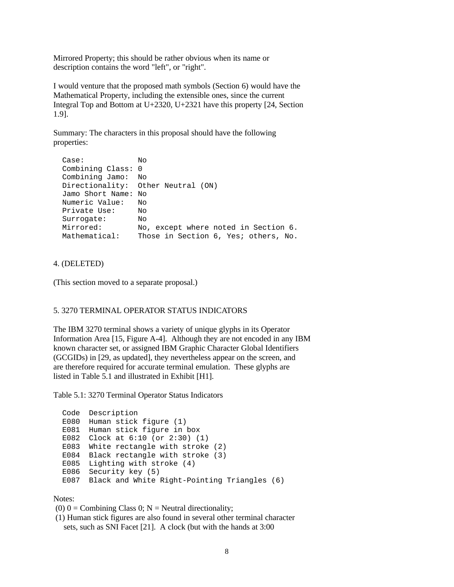Mirrored Property; this should be rather obvious when its name or description contains the word "left", or "right".

I would venture that the proposed math symbols (Section 6) would have the Mathematical Property, including the extensible ones, since the current Integral Top and Bottom at U+2320, U+2321 have this property [24, Section 1.9].

Summary: The characters in this proposal should have the following properties:

```
 Case: No
 Combining Class: 0
 Combining Jamo: No
 Directionality: Other Neutral (ON)
 Jamo Short Name: No
 Numeric Value: No
 Private Use: No
Surrogate:
Surrogate: No<br>Mirrored: No, except where noted in Section 6.
Mathematical: Those in Section 6, Yes; others, No.
```
4. (DELETED)

(This section moved to a separate proposal.)

## 5. 3270 TERMINAL OPERATOR STATUS INDICATORS

The IBM 3270 terminal shows a variety of unique glyphs in its Operator Information Area [15, Figure A-4]. Although they are not encoded in any IBM known character set, or assigned IBM Graphic Character Global Identifiers (GCGIDs) in [29, as updated], they nevertheless appear on the screen, and are therefore required for accurate terminal emulation. These glyphs are listed in Table 5.1 and illustrated in Exhibit [H1].

Table 5.1: 3270 Terminal Operator Status Indicators

```
 Code Description
 E080 Human stick figure (1)
 E081 Human stick figure in box
 E082 Clock at 6:10 (or 2:30) (1)
 E083 White rectangle with stroke (2)
 E084 Black rectangle with stroke (3)
 E085 Lighting with stroke (4)
 E086 Security key (5)
 E087 Black and White Right-Pointing Triangles (6)
```
Notes:

(0)  $0 =$  Combining Class 0; N = Neutral directionality;

 (1) Human stick figures are also found in several other terminal character sets, such as SNI Facet [21]. A clock (but with the hands at 3:00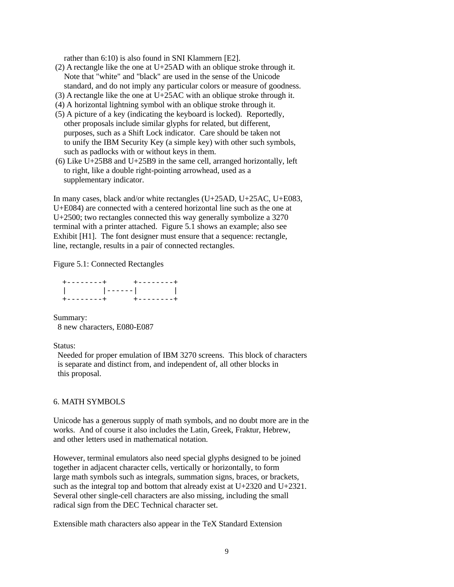rather than 6:10) is also found in SNI Klammern [E2].

- (2) A rectangle like the one at U+25AD with an oblique stroke through it. Note that "white" and "black" are used in the sense of the Unicode standard, and do not imply any particular colors or measure of goodness.
- (3) A rectangle like the one at U+25AC with an oblique stroke through it.
- (4) A horizontal lightning symbol with an oblique stroke through it.
- (5) A picture of a key (indicating the keyboard is locked). Reportedly, other proposals include similar glyphs for related, but different, purposes, such as a Shift Lock indicator. Care should be taken not to unify the IBM Security Key (a simple key) with other such symbols, such as padlocks with or without keys in them.
- (6) Like  $U+25B8$  and  $U+25B9$  in the same cell, arranged horizontally, left to right, like a double right-pointing arrowhead, used as a supplementary indicator.

In many cases, black and/or white rectangles (U+25AD, U+25AC, U+E083, U+E084) are connected with a centered horizontal line such as the one at U+2500; two rectangles connected this way generally symbolize a 3270 terminal with a printer attached. Figure 5.1 shows an example; also see Exhibit [H1]. The font designer must ensure that a sequence: rectangle, line, rectangle, results in a pair of connected rectangles.

Figure 5.1: Connected Rectangles

 +--------+ +--------+ | |------| | +--------+ +--------+

Summary: 8 new characters, E080-E087

#### Status:

 Needed for proper emulation of IBM 3270 screens. This block of characters is separate and distinct from, and independent of, all other blocks in this proposal.

### 6. MATH SYMBOLS

Unicode has a generous supply of math symbols, and no doubt more are in the works. And of course it also includes the Latin, Greek, Fraktur, Hebrew, and other letters used in mathematical notation.

However, terminal emulators also need special glyphs designed to be joined together in adjacent character cells, vertically or horizontally, to form large math symbols such as integrals, summation signs, braces, or brackets, such as the integral top and bottom that already exist at U+2320 and U+2321. Several other single-cell characters are also missing, including the small radical sign from the DEC Technical character set.

Extensible math characters also appear in the TeX Standard Extension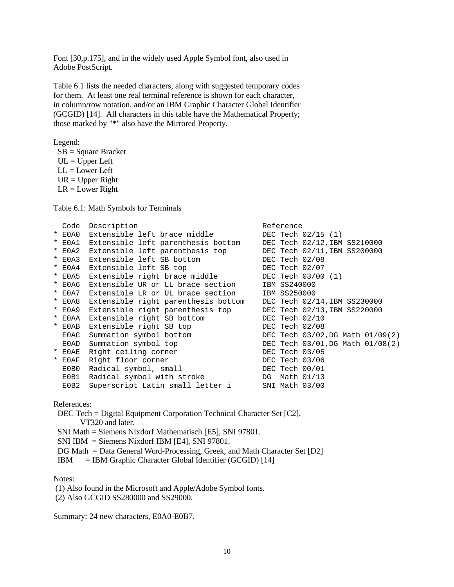Font [30,p.175], and in the widely used Apple Symbol font, also used in Adobe PostScript.

Table 6.1 lists the needed characters, along with suggested temporary codes for them. At least one real terminal reference is shown for each character, in column/row notation, and/or an IBM Graphic Character Global Identifier (GCGID) [14]. All characters in this table have the Mathematical Property; those marked by "\*" also have the Mirrored Property.

Legend:

 SB = Square Bracket  $UL = Upper$  Left  $LL = Lower Left$  $UR = Upper Right$  $LR = Lower Right$ 

Table 6.1: Math Symbols for Terminals

| Code       | Description                                                  | Reference                        |
|------------|--------------------------------------------------------------|----------------------------------|
| $*$ E0A0   | Extensible left brace middle                                 | DEC Tech 02/15 (1)               |
| $*$ $E0A1$ | Extensible left parenthesis bottom                           | DEC Tech 02/12, IBM SS210000     |
| $*$ EOA2   | Extensible left parenthesis top DEC Tech 02/11, IBM SS200000 |                                  |
| $*$ E0A3   | Extensible left SB bottom                                    | DEC Tech 02/08                   |
| $*$ EOA4   | Extensible left SB top                                       | DEC Tech $02/07$                 |
| $*$ EOA5   | Extensible right brace middle                                | DEC Tech 03/00 (1)               |
| $*$ E0A6   | Extensible UR or LL brace section                            | IBM SS240000                     |
| $*$ E0A7   | Extensible LR or UL brace section                            | IBM SS250000                     |
| $*$ E0A8   | Extensible right parenthesis bottom                          | DEC Tech 02/14, IBM SS230000     |
| * E0A9     | Extensible right parenthesis top                             | DEC Tech 02/13, IBM SS220000     |
| $*$ EOAA   | Extensible right SB bottom                                   | DEC Tech $02/10$                 |
| $*$ EOAB   | Extensible right SB top                                      | DEC Tech 02/08                   |
| E0AC       | Summation symbol bottom                                      | DEC Tech 03/02, DG Math 01/09(2) |
| E0AD       | Summation symbol top                                         | DEC Tech 03/01, DG Math 01/08(2) |
| $*$ EOAE   | Right ceiling corner                                         | DEC Tech 03/05                   |
| $*$ EOAF   | Right floor corner                                           | DEC Tech 03/06                   |
| E0B0       | Radical symbol, small                                        | DEC Tech 00/01                   |
| E0B1       | Radical symbol with stroke                                   | DG Math 01/13                    |
| EOB2       | Superscript Latin small letter i                             | SNI Math 03/00                   |

References:

 DEC Tech = Digital Equipment Corporation Technical Character Set [C2], VT320 and later. SNI Math = Siemens Nixdorf Mathematisch [E5], SNI 97801.

SNI IBM = Siemens Nixdorf IBM [E4], SNI 97801.

DG Math = Data General Word-Processing, Greek, and Math Character Set [D2]

IBM = IBM Graphic Character Global Identifier (GCGID) [14]

### Notes:

(1) Also found in the Microsoft and Apple/Adobe Symbol fonts.

(2) Also GCGID SS280000 and SS29000.

Summary: 24 new characters, E0A0-E0B7.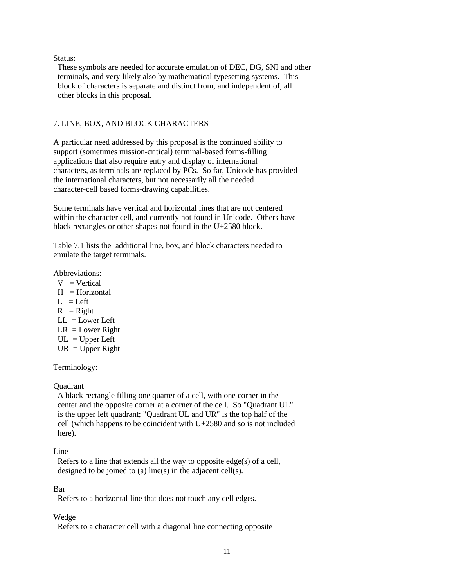## Status:

 These symbols are needed for accurate emulation of DEC, DG, SNI and other terminals, and very likely also by mathematical typesetting systems. This block of characters is separate and distinct from, and independent of, all other blocks in this proposal.

# 7. LINE, BOX, AND BLOCK CHARACTERS

A particular need addressed by this proposal is the continued ability to support (sometimes mission-critical) terminal-based forms-filling applications that also require entry and display of international characters, as terminals are replaced by PCs. So far, Unicode has provided the international characters, but not necessarily all the needed character-cell based forms-drawing capabilities.

Some terminals have vertical and horizontal lines that are not centered within the character cell, and currently not found in Unicode. Others have black rectangles or other shapes not found in the U+2580 block.

Table 7.1 lists the additional line, box, and block characters needed to emulate the target terminals.

Abbreviations:

- $V = V$ ertical
- $H =$ Horizontal
- $L = Left$
- $R = Right$
- $LL = Lower Left$
- $LR = Lower Right$
- $UL = Upper Left$
- $UR = Upper Right$

Terminology:

Quadrant

 A black rectangle filling one quarter of a cell, with one corner in the center and the opposite corner at a corner of the cell. So "Quadrant UL" is the upper left quadrant; "Quadrant UL and UR" is the top half of the cell (which happens to be coincident with U+2580 and so is not included here).

### Line

 Refers to a line that extends all the way to opposite edge(s) of a cell, designed to be joined to (a) line(s) in the adjacent cell(s).

# Bar

Refers to a horizontal line that does not touch any cell edges.

### Wedge

Refers to a character cell with a diagonal line connecting opposite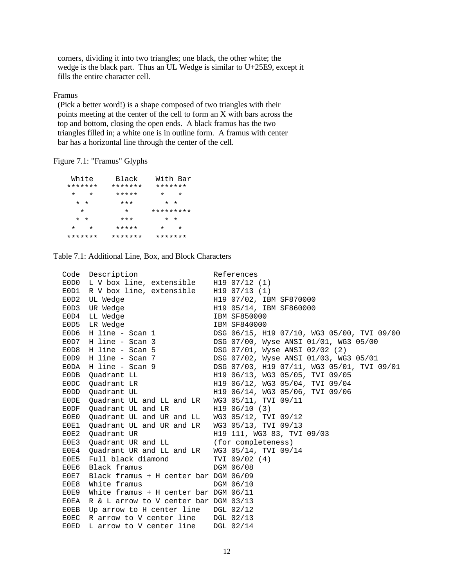corners, dividing it into two triangles; one black, the other white; the wedge is the black part. Thus an UL Wedge is similar to U+25E9, except it fills the entire character cell.

Framus

 (Pick a better word!) is a shape composed of two triangles with their points meeting at the center of the cell to form an X with bars across the top and bottom, closing the open ends. A black framus has the two triangles filled in; a white one is in outline form. A framus with center bar has a horizontal line through the center of the cell.

Figure 7.1: "Framus" Glyphs

| White<br>*******     | Black<br>******* | With Bar<br>******* |
|----------------------|------------------|---------------------|
| $^\star$<br>$^\star$ | *****            | $\star$<br>$^\star$ |
| $\star$ $\star$      | $***$            | $\star$<br>$\star$  |
| $\star$              | $\star$          | *********           |
| $\star$<br>$\star$   | $***$            | $\star$ $\star$     |
| $\star$<br>$\star$   | *****            | $\star$<br>$\star$  |
| *******              | *******          | *******             |

Table 7.1: Additional Line, Box, and Block Characters

| Code | Description                                    | References                                 |
|------|------------------------------------------------|--------------------------------------------|
|      | EODO L V box line, extensible                  | H19 07/12 (1)                              |
| E0D1 | R V box line, extensible                       | $H19$ 07/13 (1)                            |
| EOD2 | UL Wedge                                       | H19 07/02, IBM SF870000                    |
| EOD3 | UR Wedge                                       | H19 05/14, IBM SF860000                    |
| EOD4 | LL Wedge                                       | <b>IBM SF850000</b>                        |
| E0D5 | LR Wedge                                       | IBM SF840000                               |
| E0D6 | H line - Scan 1                                | DSG 06/15, H19 07/10, WG3 05/00, TVI 09/00 |
| E0D7 | H line - Scan 3                                | DSG 07/00, Wyse ANSI 01/01, WG3 05/00      |
| EOD8 | H line - Scan 5                                | DSG 07/01, Wyse ANSI 02/02 (2)             |
| E0D9 | H line - Scan 7                                | DSG 07/02, Wyse ANSI 01/03, WG3 05/01      |
| E0DA | H line - Scan 9                                | DSG 07/03, H19 07/11, WG3 05/01, TVI 09/01 |
| E0DB | Quadrant LL                                    | H19 06/13, WG3 05/05, TVI 09/05            |
| E0DC | Ouadrant LR                                    | H19 06/12, WG3 05/04, TVI 09/04            |
| E0DD | Quadrant UL                                    | H19 06/14, WG3 05/06, TVI 09/06            |
| E0DE | Quadrant UL and LL and LR                      | WG3 05/11, TVI 09/11                       |
| E0DF | Ouadrant UL and LR                             | H19 06/10 (3)                              |
| E0E0 | Quadrant UL and UR and LL WG3 05/12, TVI 09/12 |                                            |
| E0E1 | Quadrant UL and UR and LR                      | WG3 05/13, TVI 09/13                       |
| E0E2 | Ouadrant UR                                    | H19 111, WG3 83, TVI 09/03                 |
| E0E3 | Quadrant UR and LL (for completeness)          |                                            |
| E0E4 | Quadrant UR and LL and LR WG3 05/14, TVI 09/14 |                                            |
| E0E5 | Full black diamond                             | TVI 09/02 (4)                              |
| E0E6 | Black framus                                   | DGM 06/08                                  |
| E0E7 | Black framus + H center bar DGM 06/09          |                                            |
| E0E8 | White framus                                   | DGM 06/10                                  |
| E0E9 | White framus + H center bar DGM $06/11$        |                                            |
| E0EA | R & L arrow to V center bar DGM 03/13          |                                            |
| E0EB | Up arrow to H center line DGL 02/12            |                                            |
| E0EC | R arrow to V center line                       | DGL 02/13                                  |
| E0ED | L arrow to V center line                       | DGL 02/14                                  |
|      |                                                |                                            |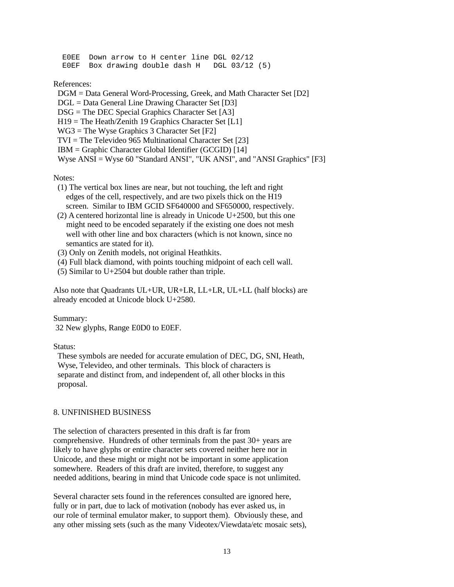E0EE Down arrow to H center line DGL 02/12 E0EF Box drawing double dash H DGL 03/12 (5)

References:

 DGM = Data General Word-Processing, Greek, and Math Character Set [D2] DGL = Data General Line Drawing Character Set [D3]  $DSG = The DEC Special Graphics Character Set [A3]$  $H19$  = The Heath/Zenith 19 Graphics Character Set [L1] WG3 = The Wyse Graphics 3 Character Set [F2] TVI = The Televideo 965 Multinational Character Set [23] IBM = Graphic Character Global Identifier (GCGID) [14] Wyse ANSI = Wyse 60 "Standard ANSI", "UK ANSI", and "ANSI Graphics" [F3]

Notes:

- (1) The vertical box lines are near, but not touching, the left and right edges of the cell, respectively, and are two pixels thick on the H19 screen. Similar to IBM GCID SF640000 and SF650000, respectively.
- (2) A centered horizontal line is already in Unicode U+2500, but this one might need to be encoded separately if the existing one does not mesh well with other line and box characters (which is not known, since no semantics are stated for it).
- (3) Only on Zenith models, not original Heathkits.
- (4) Full black diamond, with points touching midpoint of each cell wall.
- (5) Similar to U+2504 but double rather than triple.

Also note that Quadrants UL+UR, UR+LR, LL+LR, UL+LL (half blocks) are already encoded at Unicode block U+2580.

Summary:

32 New glyphs, Range E0D0 to E0EF.

Status:

 These symbols are needed for accurate emulation of DEC, DG, SNI, Heath, Wyse, Televideo, and other terminals. This block of characters is separate and distinct from, and independent of, all other blocks in this proposal.

# 8. UNFINISHED BUSINESS

The selection of characters presented in this draft is far from comprehensive. Hundreds of other terminals from the past 30+ years are likely to have glyphs or entire character sets covered neither here nor in Unicode, and these might or might not be important in some application somewhere. Readers of this draft are invited, therefore, to suggest any needed additions, bearing in mind that Unicode code space is not unlimited.

Several character sets found in the references consulted are ignored here, fully or in part, due to lack of motivation (nobody has ever asked us, in our role of terminal emulator maker, to support them). Obviously these, and any other missing sets (such as the many Videotex/Viewdata/etc mosaic sets),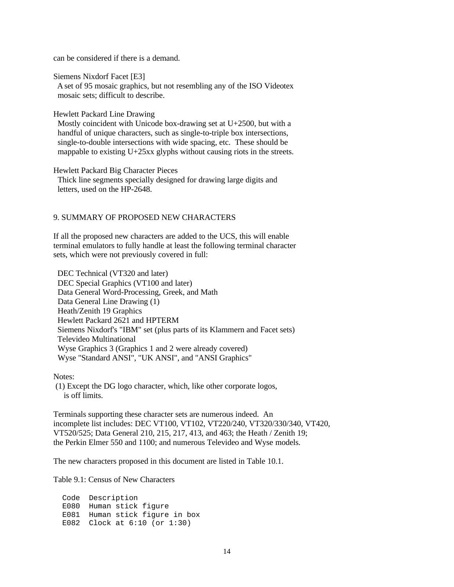can be considered if there is a demand.

Siemens Nixdorf Facet [E3]

 A set of 95 mosaic graphics, but not resembling any of the ISO Videotex mosaic sets; difficult to describe.

Hewlett Packard Line Drawing

 Mostly coincident with Unicode box-drawing set at U+2500, but with a handful of unique characters, such as single-to-triple box intersections, single-to-double intersections with wide spacing, etc. These should be mappable to existing U+25xx glyphs without causing riots in the streets.

Hewlett Packard Big Character Pieces

 Thick line segments specially designed for drawing large digits and letters, used on the HP-2648.

#### 9. SUMMARY OF PROPOSED NEW CHARACTERS

If all the proposed new characters are added to the UCS, this will enable terminal emulators to fully handle at least the following terminal character sets, which were not previously covered in full:

 DEC Technical (VT320 and later) DEC Special Graphics (VT100 and later) Data General Word-Processing, Greek, and Math Data General Line Drawing (1) Heath/Zenith 19 Graphics Hewlett Packard 2621 and HPTERM Siemens Nixdorf's "IBM" set (plus parts of its Klammern and Facet sets) Televideo Multinational Wyse Graphics 3 (Graphics 1 and 2 were already covered) Wyse "Standard ANSI", "UK ANSI", and "ANSI Graphics"

Notes:

 (1) Except the DG logo character, which, like other corporate logos, is off limits.

Terminals supporting these character sets are numerous indeed. An incomplete list includes: DEC VT100, VT102, VT220/240, VT320/330/340, VT420, VT520/525; Data General 210, 215, 217, 413, and 463; the Heath / Zenith 19; the Perkin Elmer 550 and 1100; and numerous Televideo and Wyse models.

The new characters proposed in this document are listed in Table 10.1.

Table 9.1: Census of New Characters

 Code Description E080 Human stick figure E081 Human stick figure in box E082 Clock at 6:10 (or 1:30)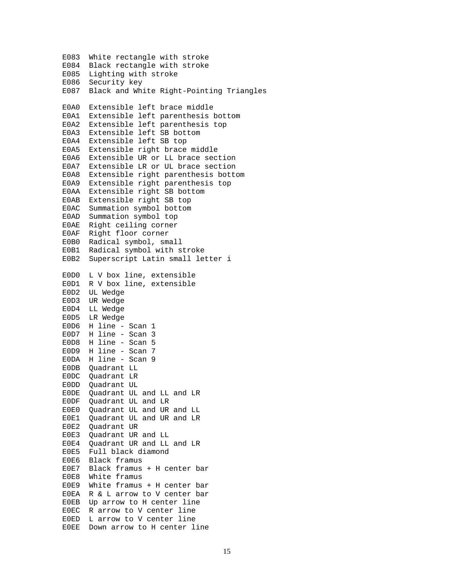E083 White rectangle with stroke E084 Black rectangle with stroke E085 Lighting with stroke E086 Security key E087 Black and White Right-Pointing Triangles E0A0 Extensible left brace middle E0A1 Extensible left parenthesis bottom E0A2 Extensible left parenthesis top E0A3 Extensible left SB bottom E0A4 Extensible left SB top E0A5 Extensible right brace middle E0A6 Extensible UR or LL brace section E0A7 Extensible LR or UL brace section E0A8 Extensible right parenthesis bottom E0A9 Extensible right parenthesis top E0AA Extensible right SB bottom E0AB Extensible right SB top E0AC Summation symbol bottom E0AD Summation symbol top E0AE Right ceiling corner E0AF Right floor corner E0B0 Radical symbol, small E0B1 Radical symbol with stroke E0B2 Superscript Latin small letter i E0D0 L V box line, extensible E0D1 R V box line, extensible E0D2 UL Wedge E0D3 UR Wedge E0D4 LL Wedge E0D5 LR Wedge E0D6 H line - Scan 1 E0D7 H line - Scan 3 E0D8 H line - Scan 5 E0D9 H line - Scan 7 E0DA H line - Scan 9 E0DB Quadrant LL E0DC Quadrant LR E0DD Quadrant UL E0DE Quadrant UL and LL and LR E0DF Quadrant UL and LR E0E0 Quadrant UL and UR and LL E0E1 Quadrant UL and UR and LR E0E2 Quadrant UR E0E3 Quadrant UR and LL E0E4 Quadrant UR and LL and LR E0E5 Full black diamond E0E6 Black framus E0E7 Black framus + H center bar E0E8 White framus E0E9 White framus + H center bar E0EA R & L arrow to V center bar E0EB Up arrow to H center line E0EC R arrow to V center line E0ED L arrow to V center line E0EE Down arrow to H center line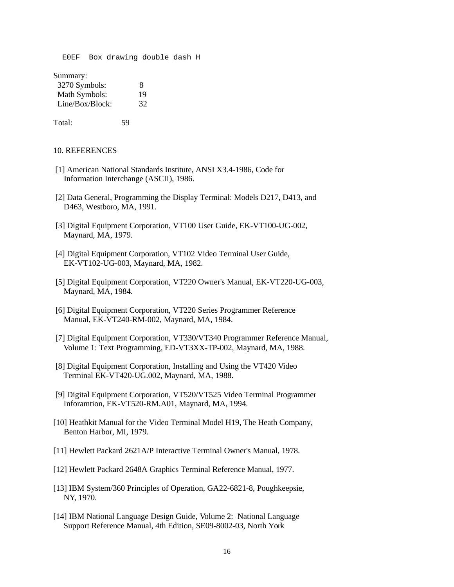E0EF Box drawing double dash H

Summary:

| 3270 Symbols:   | 8  |
|-----------------|----|
| Math Symbols:   | 19 |
| Line/Box/Block: | 32 |

Total: 59

#### 10. REFERENCES

- [1] American National Standards Institute, ANSI X3.4-1986, Code for Information Interchange (ASCII), 1986.
- [2] Data General, Programming the Display Terminal: Models D217, D413, and D463, Westboro, MA, 1991.
- [3] Digital Equipment Corporation, VT100 User Guide, EK-VT100-UG-002, Maynard, MA, 1979.
- [4] Digital Equipment Corporation, VT102 Video Terminal User Guide, EK-VT102-UG-003, Maynard, MA, 1982.
- [5] Digital Equipment Corporation, VT220 Owner's Manual, EK-VT220-UG-003, Maynard, MA, 1984.
- [6] Digital Equipment Corporation, VT220 Series Programmer Reference Manual, EK-VT240-RM-002, Maynard, MA, 1984.
- [7] Digital Equipment Corporation, VT330/VT340 Programmer Reference Manual, Volume 1: Text Programming, ED-VT3XX-TP-002, Maynard, MA, 1988.
- [8] Digital Equipment Corporation, Installing and Using the VT420 Video Terminal EK-VT420-UG.002, Maynard, MA, 1988.
- [9] Digital Equipment Corporation, VT520/VT525 Video Terminal Programmer Inforamtion, EK-VT520-RM.A01, Maynard, MA, 1994.
- [10] Heathkit Manual for the Video Terminal Model H19, The Heath Company, Benton Harbor, MI, 1979.
- [11] Hewlett Packard 2621A/P Interactive Terminal Owner's Manual, 1978.
- [12] Hewlett Packard 2648A Graphics Terminal Reference Manual, 1977.
- [13] IBM System/360 Principles of Operation, GA22-6821-8, Poughkeepsie, NY, 1970.
- [14] IBM National Language Design Guide, Volume 2: National Language Support Reference Manual, 4th Edition, SE09-8002-03, North York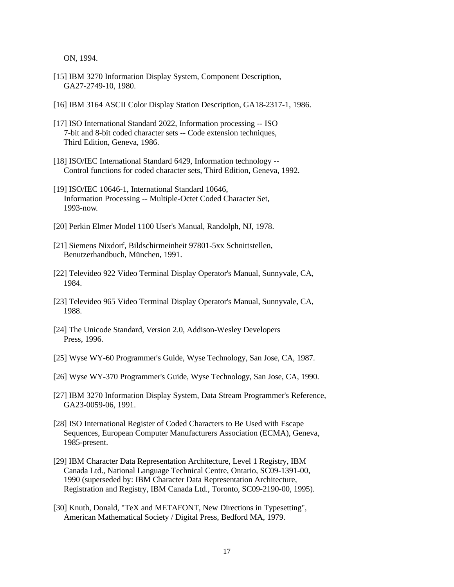ON, 1994.

- [15] IBM 3270 Information Display System, Component Description, GA27-2749-10, 1980.
- [16] IBM 3164 ASCII Color Display Station Description, GA18-2317-1, 1986.
- [17] ISO International Standard 2022, Information processing -- ISO 7-bit and 8-bit coded character sets -- Code extension techniques, Third Edition, Geneva, 1986.
- [18] ISO/IEC International Standard 6429, Information technology --Control functions for coded character sets, Third Edition, Geneva, 1992.
- [19] ISO/IEC 10646-1, International Standard 10646, Information Processing -- Multiple-Octet Coded Character Set, 1993-now.
- [20] Perkin Elmer Model 1100 User's Manual, Randolph, NJ, 1978.
- [21] Siemens Nixdorf, Bildschirmeinheit 97801-5xx Schnittstellen, Benutzerhandbuch, München, 1991.
- [22] Televideo 922 Video Terminal Display Operator's Manual, Sunnyvale, CA, 1984.
- [23] Televideo 965 Video Terminal Display Operator's Manual, Sunnyvale, CA, 1988.
- [24] The Unicode Standard, Version 2.0, Addison-Wesley Developers Press, 1996.
- [25] Wyse WY-60 Programmer's Guide, Wyse Technology, San Jose, CA, 1987.
- [26] Wyse WY-370 Programmer's Guide, Wyse Technology, San Jose, CA, 1990.
- [27] IBM 3270 Information Display System, Data Stream Programmer's Reference, GA23-0059-06, 1991.
- [28] ISO International Register of Coded Characters to Be Used with Escape Sequences, European Computer Manufacturers Association (ECMA), Geneva, 1985-present.
- [29] IBM Character Data Representation Architecture, Level 1 Registry, IBM Canada Ltd., National Language Technical Centre, Ontario, SC09-1391-00, 1990 (superseded by: IBM Character Data Representation Architecture, Registration and Registry, IBM Canada Ltd., Toronto, SC09-2190-00, 1995).
- [30] Knuth, Donald, "TeX and METAFONT, New Directions in Typesetting", American Mathematical Society / Digital Press, Bedford MA, 1979.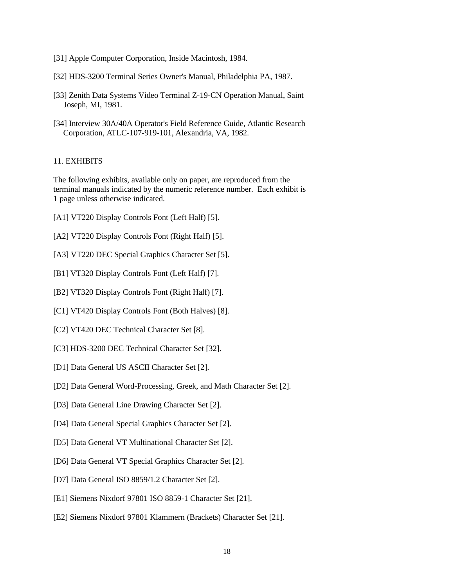- [31] Apple Computer Corporation, Inside Macintosh, 1984.
- [32] HDS-3200 Terminal Series Owner's Manual, Philadelphia PA, 1987.
- [33] Zenith Data Systems Video Terminal Z-19-CN Operation Manual, Saint Joseph, MI, 1981.
- [34] Interview 30A/40A Operator's Field Reference Guide, Atlantic Research Corporation, ATLC-107-919-101, Alexandria, VA, 1982.

# 11. EXHIBITS

The following exhibits, available only on paper, are reproduced from the terminal manuals indicated by the numeric reference number. Each exhibit is 1 page unless otherwise indicated.

- [A1] VT220 Display Controls Font (Left Half) [5].
- [A2] VT220 Display Controls Font (Right Half) [5].
- [A3] VT220 DEC Special Graphics Character Set [5].
- [B1] VT320 Display Controls Font (Left Half) [7].
- [B2] VT320 Display Controls Font (Right Half) [7].
- [C1] VT420 Display Controls Font (Both Halves) [8].
- [C2] VT420 DEC Technical Character Set [8].
- [C3] HDS-3200 DEC Technical Character Set [32].
- [D1] Data General US ASCII Character Set [2].
- [D2] Data General Word-Processing, Greek, and Math Character Set [2].
- [D3] Data General Line Drawing Character Set [2].
- [D4] Data General Special Graphics Character Set [2].
- [D5] Data General VT Multinational Character Set [2].
- [D6] Data General VT Special Graphics Character Set [2].
- [D7] Data General ISO 8859/1.2 Character Set [2].
- [E1] Siemens Nixdorf 97801 ISO 8859-1 Character Set [21].
- [E2] Siemens Nixdorf 97801 Klammern (Brackets) Character Set [21].